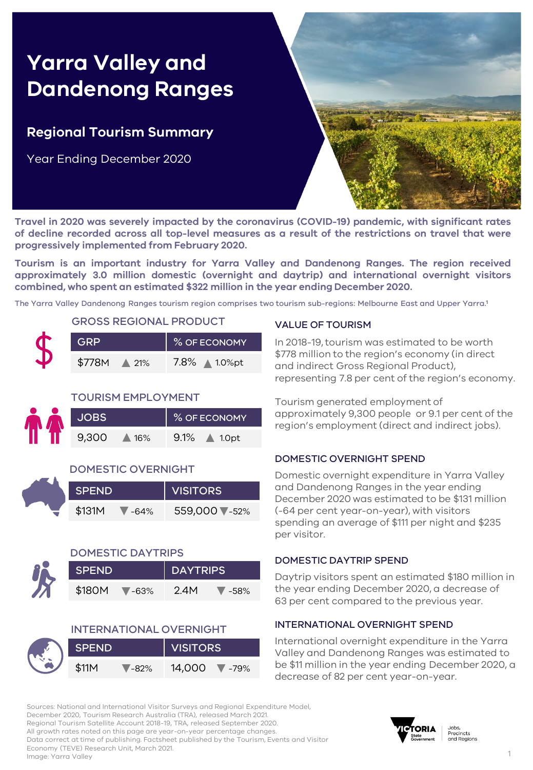# **Yarra Valley and Dandenong Ranges**

### **Regional Tourism Summary**

Year Ending December 2020



**Travel in 2020 was severely impacted by the coronavirus (COVID-19) pandemic, with significant rates of decline recorded across all top-level measures as a result of the restrictions on travel that were progressively implemented from February 2020.**

**Tourism is an important industry for Yarra Valley and Dandenong Ranges. The region received approximately 3.0 million domestic (overnight and daytrip) and international overnight visitors combined, who spent an estimated \$322 million in the year ending December 2020.**

The Yarra Valley Dandenong Ranges tourism region comprises two tourism sub-regions: Melbourne East and Upper Yarra. **1**

#### GROSS REGIONAL PRODUCT

| GRP    |                 | % OF ECONOMY  |
|--------|-----------------|---------------|
| \$778M | $\triangle$ 21% | 7.8% ∧ 1.0%pt |

#### TOURISM EMPLOYMENT

|       |     | <b>% OF ECONOMY</b> |
|-------|-----|---------------------|
| 9,300 | 16% | 9.1%<br>1.0pt       |

#### DOMESTIC OVERNIGHT

| <b>SPEND</b> |        | <b>VISITORS</b> |
|--------------|--------|-----------------|
| \$131M       | $-64%$ | 559,000 ₹-52%   |



#### DOMESTIC DAYTRIPS

| <b>SPEND</b> |           | <b>DAYTRIPS</b> |      |
|--------------|-----------|-----------------|------|
| \$180M       | $V - 63%$ | 2.4M            | -58% |

|       |         | <b>INTERNATIONAL OVERNIGHT</b> |  |  |  |  |
|-------|---------|--------------------------------|--|--|--|--|
| SPEND |         | VISITORS                       |  |  |  |  |
| \$11M | $-82\%$ | 14,000 7-79%                   |  |  |  |  |

#### VALUE OF TOURISM

In 2018-19, tourism was estimated to be worth \$778 million to the region's economy (in direct and indirect Gross Regional Product), representing 7.8 per cent of the region's economy.

Tourism generated employment of approximately 9,300 people or 9.1 per cent of the region's employment (direct and indirect jobs).

#### DOMESTIC OVERNIGHT SPEND

Domestic overnight expenditure in Yarra Valley and Dandenong Ranges in the year ending December 2020 was estimated to be \$131 million (-64 per cent year-on-year), with visitors spending an average of \$111 per night and \$235 per visitor.

#### DOMESTIC DAYTRIP SPEND

Daytrip visitors spent an estimated \$180 million in the year ending December 2020, a decrease of 63 per cent compared to the previous year.

#### INTERNATIONAL OVERNIGHT SPEND

International overnight expenditure in the Yarra Valley and Dandenong Ranges was estimated to be \$11 million in the year ending December 2020, a decrease of 82 per cent year-on-year.

Sources: National and International Visitor Surveys and Regional Expenditure Model, December 2020, Tourism Research Australia (TRA), released March 2021. Regional Tourism Satellite Account 2018-19, TRA, released September 2020. All growth rates noted on this page are year-on-year percentage changes. Data correct at time of publishing. Factsheet published by the Tourism, Events and Visitor Economy (TEVE) Research Unit, March 2021. Image: Yarra Valley

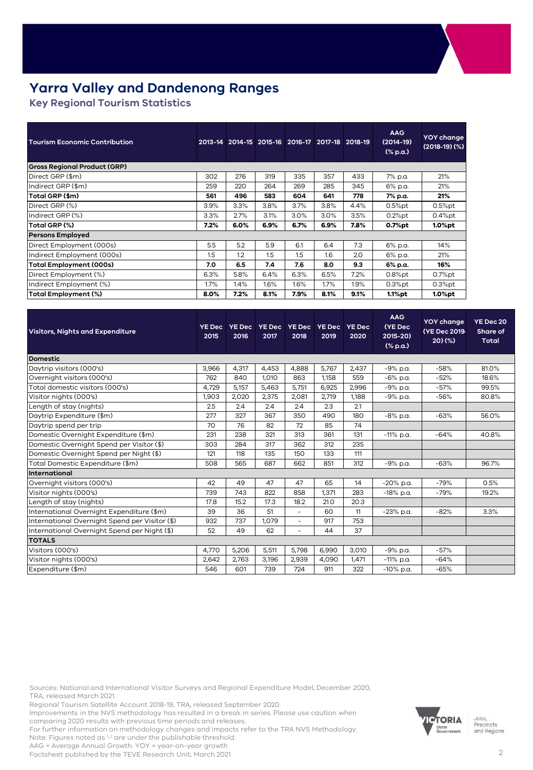### **Yarra Valley and Dandenong Ranges**

**Key Regional Tourism Statistics** 

| <b>Tourism Economic Contribution</b> |      | 2013-14 2014-15 2015-16 2016-17 2017-18 2018-19 |      |      |      |      | <b>AAG</b><br>$(2014-19)$<br>$(% \mathbf{a})$ (% p.a.) | YOY change<br>$(2018-19)(%)$ |
|--------------------------------------|------|-------------------------------------------------|------|------|------|------|--------------------------------------------------------|------------------------------|
| <b>Gross Regional Product (GRP)</b>  |      |                                                 |      |      |      |      |                                                        |                              |
| Direct GRP (\$m)                     | 302  | 276                                             | 319  | 335  | 357  | 433  | 7% p.a.                                                | 21%                          |
| Indirect GRP (\$m)                   | 259  | 220                                             | 264  | 269  | 285  | 345  | 6% p.a.                                                | 21%                          |
| Total GRP (\$m)                      | 561  | 496                                             | 583  | 604  | 641  | 778  | 7% p.a.                                                | 21%                          |
| Direct GRP (%)                       | 3.9% | 3.3%                                            | 3.8% | 3.7% | 3.8% | 4.4% | $0.5%$ pt                                              | $0.5%$ pt                    |
| Indirect GRP (%)                     | 3.3% | 2.7%                                            | 3.1% | 3.0% | 3.0% | 3.5% | $0.2%$ pt                                              | $0.4%$ pt                    |
| Total GRP (%)                        | 7.2% | 6.0%                                            | 6.9% | 6.7% | 6.9% | 7.8% | 0.7%pt                                                 | $1.0%$ pt                    |
| <b>Persons Employed</b>              |      |                                                 |      |      |      |      |                                                        |                              |
| Direct Employment (000s)             | 5.5  | 5.2                                             | 5.9  | 6.1  | 6.4  | 7.3  | 6% p.a.                                                | 14%                          |
| Indirect Employment (000s)           | 1.5  | 1.2                                             | 1.5  | 1.5  | 1.6  | 2.0  | 6% p.a.                                                | 21%                          |
| <b>Total Employment (000s)</b>       | 7.0  | 6.5                                             | 7.4  | 7.6  | 8.0  | 9.3  | 6% p.a.                                                | 16%                          |
| Direct Employment (%)                | 6.3% | 5.8%                                            | 6.4% | 6.3% | 6.5% | 7.2% | $0.8%$ pt                                              | $0.7%$ pt                    |
| Indirect Employment (%)              | 1.7% | 1.4%                                            | 1.6% | 1.6% | 1.7% | 1.9% | $0.3%$ pt                                              | $0.3%$ pt                    |
| Total Employment (%)                 | 8.0% | 7.2%                                            | 8.1% | 7.9% | 8.1% | 9.1% | 1.1%pt                                                 | $1.0%$ pt                    |

| <b>Visitors, Nights and Expenditure</b>        | <b>YE Dec</b><br>2015 | <b>YE Dec</b><br>2016 | 2017  | YE Dec YE Dec<br>2018    | <b>YE Dec</b><br>2019 | <b>YE Dec</b><br>2020 | <b>AAG</b><br>(YE Dec<br>2015-20)<br>$(% \mathbf{a})$ (% p.a.) | <b>YOY</b> change<br>(YE Dec 2019-<br>20)(% | YE Dec 20<br>Share of<br><b>Total</b> |
|------------------------------------------------|-----------------------|-----------------------|-------|--------------------------|-----------------------|-----------------------|----------------------------------------------------------------|---------------------------------------------|---------------------------------------|
| <b>Domestic</b>                                |                       |                       |       |                          |                       |                       |                                                                |                                             |                                       |
| Daytrip visitors (000's)                       | 3,966                 | 4,317                 | 4,453 | 4,888                    | 5,767                 | 2,437                 | -9% p.a.                                                       | $-58%$                                      | 81.0%                                 |
| Overnight visitors (000's)                     | 762                   | 840                   | 1,010 | 863                      | 1,158                 | 559                   | $-6\%$ p.a.                                                    | $-52%$                                      | 18.6%                                 |
| Total domestic visitors (000's)                | 4,729                 | 5,157                 | 5,463 | 5,751                    | 6,925                 | 2,996                 | -9% p.a.                                                       | $-57%$                                      | 99.5%                                 |
| Visitor nights (000's)                         | 1,903                 | 2,020                 | 2,375 | 2,081                    | 2,719                 | 1,188                 | -9% p.a.                                                       | $-56%$                                      | 80.8%                                 |
| Length of stay (nights)                        | 2.5                   | 2.4                   | 2.4   | 2.4                      | 2.3                   | 2.1                   |                                                                |                                             |                                       |
| Daytrip Expenditure (\$m)                      | 277                   | 327                   | 367   | 350                      | 490                   | 180                   | $-8\%$ p.a.                                                    | $-63%$                                      | 56.0%                                 |
| Daytrip spend per trip                         | 70                    | 76                    | 82    | 72                       | 85                    | 74                    |                                                                |                                             |                                       |
| Domestic Overnight Expenditure (\$m)           | 231                   | 238                   | 321   | 313                      | 361                   | 131                   | $-11\%$ p.a.                                                   | $-64%$                                      | 40.8%                                 |
| Domestic Overnight Spend per Visitor (\$)      | 303                   | 284                   | 317   | 362                      | 312                   | 235                   |                                                                |                                             |                                       |
| Domestic Overnight Spend per Night (\$)        | 121                   | 118                   | 135   | 150                      | 133                   | 111                   |                                                                |                                             |                                       |
| Total Domestic Expenditure (\$m)               | 508                   | 565                   | 687   | 662                      | 851                   | 312                   | -9% p.a.                                                       | $-63%$                                      | 96.7%                                 |
| <b>International</b>                           |                       |                       |       |                          |                       |                       |                                                                |                                             |                                       |
| Overnight visitors (000's)                     | 42                    | 49                    | 47    | 47                       | 65                    | 14                    | $-20\%$ p.a.                                                   | $-79%$                                      | 0.5%                                  |
| Visitor nights (000's)                         | 739                   | 743                   | 822   | 858                      | 1,371                 | 283                   | $-18\%$ p.a.                                                   | $-79%$                                      | 19.2%                                 |
| Length of stay (nights)                        | 17.8                  | 15.2                  | 17.3  | 18.2                     | 21.0                  | 20.3                  |                                                                |                                             |                                       |
| International Overnight Expenditure (\$m)      | 39                    | 36                    | 51    | $\overline{\phantom{0}}$ | 60                    | 11                    | $-23\%$ p.a.                                                   | $-82%$                                      | 3.3%                                  |
| International Overnight Spend per Visitor (\$) | 932                   | 737                   | 1.079 | $\overline{\phantom{0}}$ | 917                   | 753                   |                                                                |                                             |                                       |
| International Overnight Spend per Night (\$)   | 52                    | 49                    | 62    | $\overline{a}$           | 44                    | 37                    |                                                                |                                             |                                       |
| <b>TOTALS</b>                                  |                       |                       |       |                          |                       |                       |                                                                |                                             |                                       |
| Visitors (000's)                               | 4,770                 | 5,206                 | 5,511 | 5,798                    | 6,990                 | 3,010                 | -9% p.a.                                                       | $-57%$                                      |                                       |
| Visitor nights (000's)                         | 2,642                 | 2,763                 | 3,196 | 2,939                    | 4,090                 | 1,471                 | $-11\%$ p.a.                                                   | $-64%$                                      |                                       |
| Expenditure (\$m)                              | 546                   | 601                   | 739   | 724                      | 911                   | 322                   | $-10\%$ p.a.                                                   | $-65%$                                      |                                       |

Sources: National and International Visitor Surveys and Regional Expenditure Model, December 2020, TRA, released March 2021.

Regional Tourism Satellite Account 2018-19, TRA, released September 2020.

Improvements in the NVS methodology has resulted in a break in series. Please use caution when comparing 2020 results with previous time periods and releases.

For further information on methodology changes and impacts refer to the TRA NVS Methodology. Note: Figures noted as '-' are under the publishable threshold.

AAG = Average Annual Growth. YOY = year-on-year growth

Factsheet published by the TEVE Research Unit, March 2021